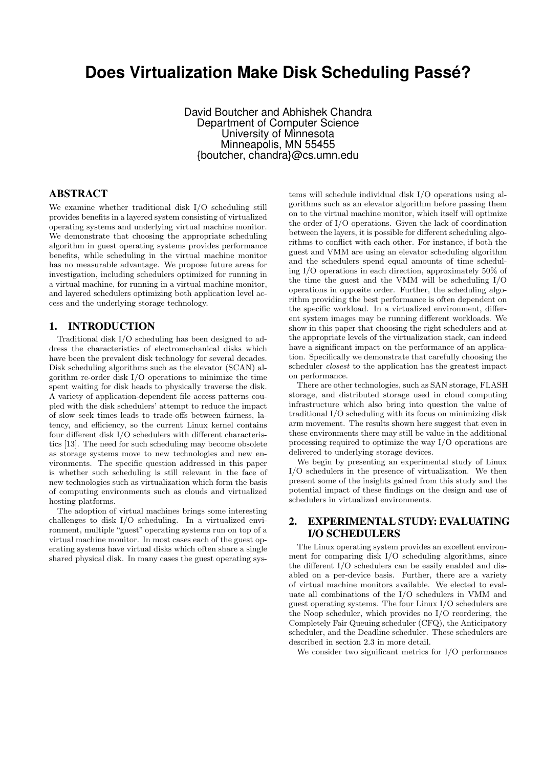# **Does Virtualization Make Disk Scheduling Passé?**

David Boutcher and Abhishek Chandra Department of Computer Science University of Minnesota Minneapolis, MN 55455 {boutcher, chandra}@cs.umn.edu

# ABSTRACT

We examine whether traditional disk I/O scheduling still provides benefits in a layered system consisting of virtualized operating systems and underlying virtual machine monitor. We demonstrate that choosing the appropriate scheduling algorithm in guest operating systems provides performance benefits, while scheduling in the virtual machine monitor has no measurable advantage. We propose future areas for investigation, including schedulers optimized for running in a virtual machine, for running in a virtual machine monitor, and layered schedulers optimizing both application level access and the underlying storage technology.

# 1. INTRODUCTION

Traditional disk I/O scheduling has been designed to address the characteristics of electromechanical disks which have been the prevalent disk technology for several decades. Disk scheduling algorithms such as the elevator (SCAN) algorithm re-order disk I/O operations to minimize the time spent waiting for disk heads to physically traverse the disk. A variety of application-dependent file access patterns coupled with the disk schedulers' attempt to reduce the impact of slow seek times leads to trade-offs between fairness, latency, and efficiency, so the current Linux kernel contains four different disk I/O schedulers with different characteristics [13]. The need for such scheduling may become obsolete as storage systems move to new technologies and new environments. The specific question addressed in this paper is whether such scheduling is still relevant in the face of new technologies such as virtualization which form the basis of computing environments such as clouds and virtualized hosting platforms.

The adoption of virtual machines brings some interesting challenges to disk I/O scheduling. In a virtualized environment, multiple "guest" operating systems run on top of a virtual machine monitor. In most cases each of the guest operating systems have virtual disks which often share a single shared physical disk. In many cases the guest operating sys-

tems will schedule individual disk I/O operations using algorithms such as an elevator algorithm before passing them on to the virtual machine monitor, which itself will optimize the order of I/O operations. Given the lack of coordination between the layers, it is possible for different scheduling algorithms to conflict with each other. For instance, if both the guest and VMM are using an elevator scheduling algorithm and the schedulers spend equal amounts of time scheduling I/O operations in each direction, approximately 50% of the time the guest and the VMM will be scheduling I/O operations in opposite order. Further, the scheduling algorithm providing the best performance is often dependent on the specific workload. In a virtualized environment, different system images may be running different workloads. We show in this paper that choosing the right schedulers and at the appropriate levels of the virtualization stack, can indeed have a significant impact on the performance of an application. Specifically we demonstrate that carefully choosing the scheduler closest to the application has the greatest impact on performance.

There are other technologies, such as SAN storage, FLASH storage, and distributed storage used in cloud computing infrastructure which also bring into question the value of traditional I/O scheduling with its focus on minimizing disk arm movement. The results shown here suggest that even in these environments there may still be value in the additional processing required to optimize the way I/O operations are delivered to underlying storage devices.

We begin by presenting an experimental study of Linux I/O schedulers in the presence of virtualization. We then present some of the insights gained from this study and the potential impact of these findings on the design and use of schedulers in virtualized environments.

# 2. EXPERIMENTAL STUDY: EVALUATING I/O SCHEDULERS

The Linux operating system provides an excellent environment for comparing disk I/O scheduling algorithms, since the different I/O schedulers can be easily enabled and disabled on a per-device basis. Further, there are a variety of virtual machine monitors available. We elected to evaluate all combinations of the I/O schedulers in VMM and guest operating systems. The four Linux I/O schedulers are the Noop scheduler, which provides no I/O reordering, the Completely Fair Queuing scheduler (CFQ), the Anticipatory scheduler, and the Deadline scheduler. These schedulers are described in section 2.3 in more detail.

We consider two significant metrics for I/O performance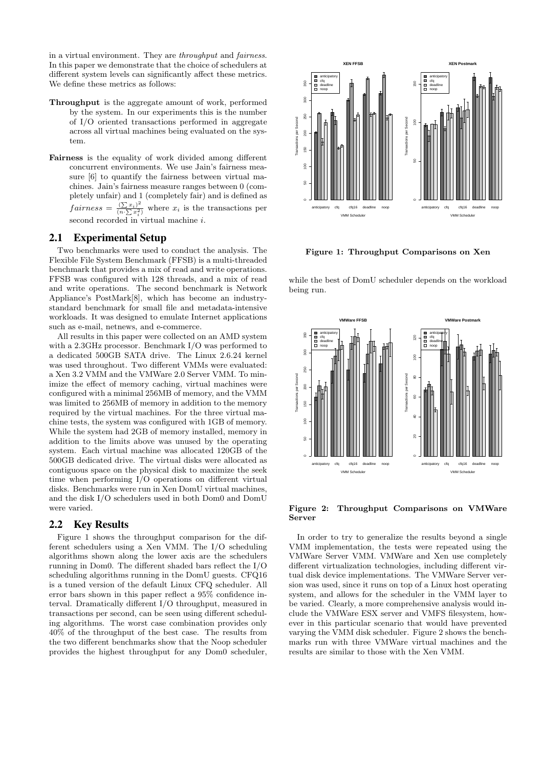in a virtual environment. They are throughput and fairness. In this paper we demonstrate that the choice of schedulers at different system levels can significantly affect these metrics. We define these metrics as follows:

- Throughput is the aggregate amount of work, performed by the system. In our experiments this is the number of I/O oriented transactions performed in aggregate across all virtual machines being evaluated on the system.
- Fairness is the equality of work divided among different concurrent environments. We use Jain's fairness measure [6] to quantify the fairness between virtual machines. Jain's fairness measure ranges between 0 (completely unfair) and 1 (completely fair) and is defined as  $fairness = \frac{(\sum x_i)^2}{(\sum x_i)^2}$  $\frac{(2 x_i)^2}{(n \cdot \sum x_i^2)}$  where  $x_i$  is the transactions per second recorded in virtual machine *i*.

## 2.1 Experimental Setup

Two benchmarks were used to conduct the analysis. The Flexible File System Benchmark (FFSB) is a multi-threaded benchmark that provides a mix of read and write operations. FFSB was configured with 128 threads, and a mix of read and write operations. The second benchmark is Network Appliance's PostMark[8], which has become an industrystandard benchmark for small file and metadata-intensive workloads. It was designed to emulate Internet applications such as e-mail, netnews, and e-commerce.

All results in this paper were collected on an AMD system with a 2.3GHz processor. Benchmark I/O was performed to a dedicated 500GB SATA drive. The Linux 2.6.24 kernel was used throughout. Two different VMMs were evaluated: a Xen 3.2 VMM and the VMWare 2.0 Server VMM. To minimize the effect of memory caching, virtual machines were configured with a minimal 256MB of memory, and the VMM was limited to 256MB of memory in addition to the memory required by the virtual machines. For the three virtual machine tests, the system was configured with 1GB of memory. While the system had 2GB of memory installed, memory in addition to the limits above was unused by the operating system. Each virtual machine was allocated 120GB of the 500GB dedicated drive. The virtual disks were allocated as contiguous space on the physical disk to maximize the seek time when performing I/O operations on different virtual disks. Benchmarks were run in Xen DomU virtual machines, and the disk I/O schedulers used in both Dom0 and DomU were varied.

## 2.2 Key Results

Figure 1 shows the throughput comparison for the different schedulers using a Xen VMM. The I/O scheduling algorithms shown along the lower axis are the schedulers running in Dom0. The different shaded bars reflect the I/O scheduling algorithms running in the DomU guests. CFQ16 is a tuned version of the default Linux CFQ scheduler. All error bars shown in this paper reflect a 95% confidence interval. Dramatically different I/O throughput, measured in transactions per second, can be seen using different scheduling algorithms. The worst case combination provides only 40% of the throughput of the best case. The results from the two different benchmarks show that the Noop scheduler provides the highest throughput for any Dom0 scheduler,



Figure 1: Throughput Comparisons on Xen

while the best of DomU scheduler depends on the workload being run.



Figure 2: Throughput Comparisons on VMWare Server

In order to try to generalize the results beyond a single VMM implementation, the tests were repeated using the VMWare Server VMM. VMWare and Xen use completely different virtualization technologies, including different virtual disk device implementations. The VMWare Server version was used, since it runs on top of a Linux host operating system, and allows for the scheduler in the VMM layer to be varied. Clearly, a more comprehensive analysis would include the VMWare ESX server and VMFS filesystem, however in this particular scenario that would have prevented varying the VMM disk scheduler. Figure 2 shows the benchmarks run with three VMWare virtual machines and the results are similar to those with the Xen VMM.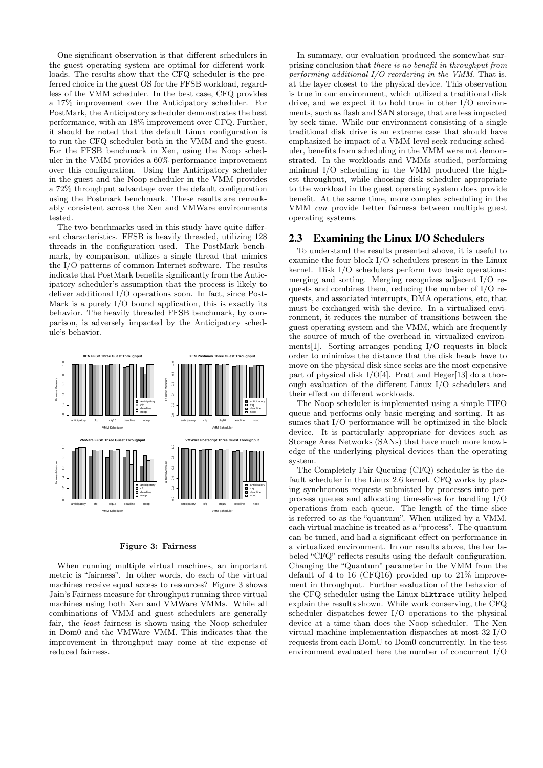One significant observation is that different schedulers in the guest operating system are optimal for different workloads. The results show that the CFQ scheduler is the preferred choice in the guest OS for the FFSB workload, regardless of the VMM scheduler. In the best case, CFQ provides a 17% improvement over the Anticipatory scheduler. For PostMark, the Anticipatory scheduler demonstrates the best performance, with an 18% improvement over CFQ. Further, it should be noted that the default Linux configuration is to run the CFQ scheduler both in the VMM and the guest. For the FFSB benchmark in Xen, using the Noop scheduler in the VMM provides a 60% performance improvement over this configuration. Using the Anticipatory scheduler in the guest and the Noop scheduler in the VMM provides a 72% throughput advantage over the default configuration using the Postmark benchmark. These results are remarkably consistent across the Xen and VMWare environments tested.

The two benchmarks used in this study have quite different characteristics. FFSB is heavily threaded, utilizing 128 threads in the configuration used. The PostMark benchmark, by comparison, utilizes a single thread that mimics the I/O patterns of common Internet software. The results indicate that PostMark benefits significantly from the Anticipatory scheduler's assumption that the process is likely to deliver additional I/O operations soon. In fact, since Post-Mark is a purely I/O bound application, this is exactly its behavior. The heavily threaded FFSB benchmark, by comparison, is adversely impacted by the Anticipatory schedule's behavior.



#### Figure 3: Fairness

When running multiple virtual machines, an important metric is "fairness". In other words, do each of the virtual machines receive equal access to resources? Figure 3 shows Jain's Fairness measure for throughput running three virtual machines using both Xen and VMWare VMMs. While all combinations of VMM and guest schedulers are generally fair, the least fairness is shown using the Noop scheduler in Dom0 and the VMWare VMM. This indicates that the improvement in throughput may come at the expense of reduced fairness.

In summary, our evaluation produced the somewhat surprising conclusion that there is no benefit in throughput from performing additional I/O reordering in the VMM. That is, at the layer closest to the physical device. This observation is true in our environment, which utilized a traditional disk drive, and we expect it to hold true in other I/O environments, such as flash and SAN storage, that are less impacted by seek time. While our environment consisting of a single traditional disk drive is an extreme case that should have emphasized he impact of a VMM level seek-reducing scheduler, benefits from scheduling in the VMM were not demonstrated. In the workloads and VMMs studied, performing minimal I/O scheduling in the VMM produced the highest throughput, while choosing disk scheduler appropriate to the workload in the guest operating system does provide benefit. At the same time, more complex scheduling in the VMM can provide better fairness between multiple guest operating systems.

## 2.3 Examining the Linux I/O Schedulers

To understand the results presented above, it is useful to examine the four block I/O schedulers present in the Linux kernel. Disk I/O schedulers perform two basic operations: merging and sorting. Merging recognizes adjacent I/O requests and combines them, reducing the number of I/O requests, and associated interrupts, DMA operations, etc, that must be exchanged with the device. In a virtualized environment, it reduces the number of transitions between the guest operating system and the VMM, which are frequently the source of much of the overhead in virtualized environments[1]. Sorting arranges pending I/O requests in block order to minimize the distance that the disk heads have to move on the physical disk since seeks are the most expensive part of physical disk  $I/O[4]$ . Pratt and Heger[13] do a thorough evaluation of the different Linux I/O schedulers and their effect on different workloads.

The Noop scheduler is implemented using a simple FIFO queue and performs only basic merging and sorting. It assumes that I/O performance will be optimized in the block device. It is particularly appropriate for devices such as Storage Area Networks (SANs) that have much more knowledge of the underlying physical devices than the operating system.

The Completely Fair Queuing (CFQ) scheduler is the default scheduler in the Linux 2.6 kernel. CFQ works by placing synchronous requests submitted by processes into perprocess queues and allocating time-slices for handling I/O operations from each queue. The length of the time slice is referred to as the "quantum". When utilized by a VMM, each virtual machine is treated as a "process". The quantum can be tuned, and had a significant effect on performance in a virtualized environment. In our results above, the bar labeled "CFQ" reflects results using the default configuration. Changing the "Quantum" parameter in the VMM from the default of 4 to 16 (CFQ16) provided up to 21% improvement in throughput. Further evaluation of the behavior of the CFQ scheduler using the Linux blktrace utility helped explain the results shown. While work conserving, the CFQ scheduler dispatches fewer I/O operations to the physical device at a time than does the Noop scheduler. The Xen virtual machine implementation dispatches at most 32 I/O requests from each DomU to Dom0 concurrently. In the test environment evaluated here the number of concurrent I/O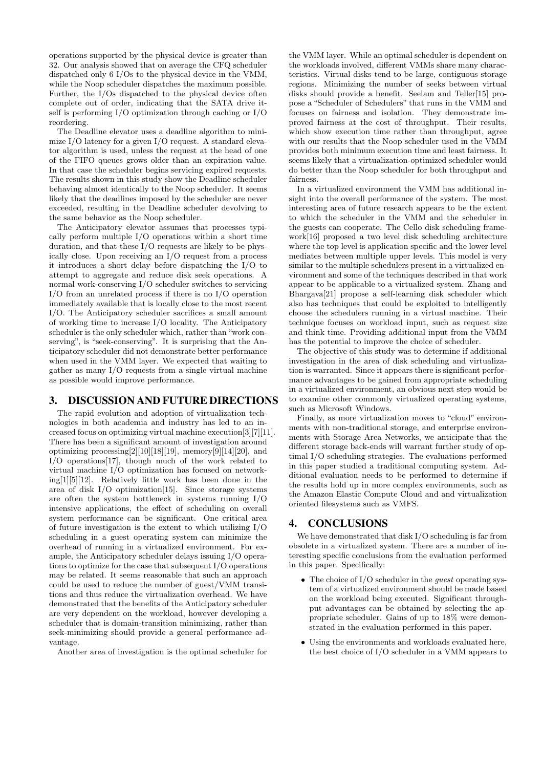operations supported by the physical device is greater than 32. Our analysis showed that on average the CFQ scheduler dispatched only 6 I/Os to the physical device in the VMM, while the Noop scheduler dispatches the maximum possible. Further, the I/Os dispatched to the physical device often complete out of order, indicating that the SATA drive itself is performing I/O optimization through caching or I/O reordering.

The Deadline elevator uses a deadline algorithm to minimize I/O latency for a given I/O request. A standard elevator algorithm is used, unless the request at the head of one of the FIFO queues grows older than an expiration value. In that case the scheduler begins servicing expired requests. The results shown in this study show the Deadline scheduler behaving almost identically to the Noop scheduler. It seems likely that the deadlines imposed by the scheduler are never exceeded, resulting in the Deadline scheduler devolving to the same behavior as the Noop scheduler.

The Anticipatory elevator assumes that processes typically perform multiple I/O operations within a short time duration, and that these I/O requests are likely to be physically close. Upon receiving an I/O request from a process it introduces a short delay before dispatching the I/O to attempt to aggregate and reduce disk seek operations. A normal work-conserving I/O scheduler switches to servicing I/O from an unrelated process if there is no I/O operation immediately available that is locally close to the most recent I/O. The Anticipatory scheduler sacrifices a small amount of working time to increase I/O locality. The Anticipatory scheduler is the only scheduler which, rather than "work conserving", is "seek-conserving". It is surprising that the Anticipatory scheduler did not demonstrate better performance when used in the VMM layer. We expected that waiting to gather as many I/O requests from a single virtual machine as possible would improve performance.

## 3. DISCUSSION AND FUTURE DIRECTIONS

The rapid evolution and adoption of virtualization technologies in both academia and industry has led to an increased focus on optimizing virtual machine execution[3][7][11]. There has been a significant amount of investigation around optimizing processing $[2][10][18][19]$ , memory $[9][14][20]$ , and I/O operations[17], though much of the work related to virtual machine I/O optimization has focused on networking[1][5][12]. Relatively little work has been done in the area of disk I/O optimization[15]. Since storage systems are often the system bottleneck in systems running I/O intensive applications, the effect of scheduling on overall system performance can be significant. One critical area of future investigation is the extent to which utilizing I/O scheduling in a guest operating system can minimize the overhead of running in a virtualized environment. For example, the Anticipatory scheduler delays issuing I/O operations to optimize for the case that subsequent I/O operations may be related. It seems reasonable that such an approach could be used to reduce the number of guest/VMM transitions and thus reduce the virtualization overhead. We have demonstrated that the benefits of the Anticipatory scheduler are very dependent on the workload, however developing a scheduler that is domain-transition minimizing, rather than seek-minimizing should provide a general performance advantage.

Another area of investigation is the optimal scheduler for

the VMM layer. While an optimal scheduler is dependent on the workloads involved, different VMMs share many characteristics. Virtual disks tend to be large, contiguous storage regions. Minimizing the number of seeks between virtual disks should provide a benefit. Seelam and Teller[15] propose a "Scheduler of Schedulers" that runs in the VMM and focuses on fairness and isolation. They demonstrate improved fairness at the cost of throughput. Their results, which show execution time rather than throughput, agree with our results that the Noop scheduler used in the VMM provides both minimum execution time and least fairness. It seems likely that a virtualization-optimized scheduler would do better than the Noop scheduler for both throughput and fairness.

In a virtualized environment the VMM has additional insight into the overall performance of the system. The most interesting area of future research appears to be the extent to which the scheduler in the VMM and the scheduler in the guests can cooperate. The Cello disk scheduling framework[16] proposed a two level disk scheduling architecture where the top level is application specific and the lower level mediates between multiple upper levels. This model is very similar to the multiple schedulers present in a virtualized environment and some of the techniques described in that work appear to be applicable to a virtualized system. Zhang and Bhargava[21] propose a self-learning disk scheduler which also has techniques that could be exploited to intelligently choose the schedulers running in a virtual machine. Their technique focuses on workload input, such as request size and think time. Providing additional input from the VMM has the potential to improve the choice of scheduler.

The objective of this study was to determine if additional investigation in the area of disk scheduling and virtualization is warranted. Since it appears there is significant performance advantages to be gained from appropriate scheduling in a virtualized environment, an obvious next step would be to examine other commonly virtualized operating systems, such as Microsoft Windows.

Finally, as more virtualization moves to "cloud" environments with non-traditional storage, and enterprise environments with Storage Area Networks, we anticipate that the different storage back-ends will warrant further study of optimal I/O scheduling strategies. The evaluations performed in this paper studied a traditional computing system. Additional evaluation needs to be performed to determine if the results hold up in more complex environments, such as the Amazon Elastic Compute Cloud and and virtualization oriented filesystems such as VMFS.

## 4. CONCLUSIONS

We have demonstrated that disk I/O scheduling is far from obsolete in a virtualized system. There are a number of interesting specific conclusions from the evaluation performed in this paper. Specifically:

- The choice of I/O scheduler in the *guest* operating system of a virtualized environment should be made based on the workload being executed. Significant throughput advantages can be obtained by selecting the appropriate scheduler. Gains of up to 18% were demonstrated in the evaluation performed in this paper.
- Using the environments and workloads evaluated here, the best choice of I/O scheduler in a VMM appears to